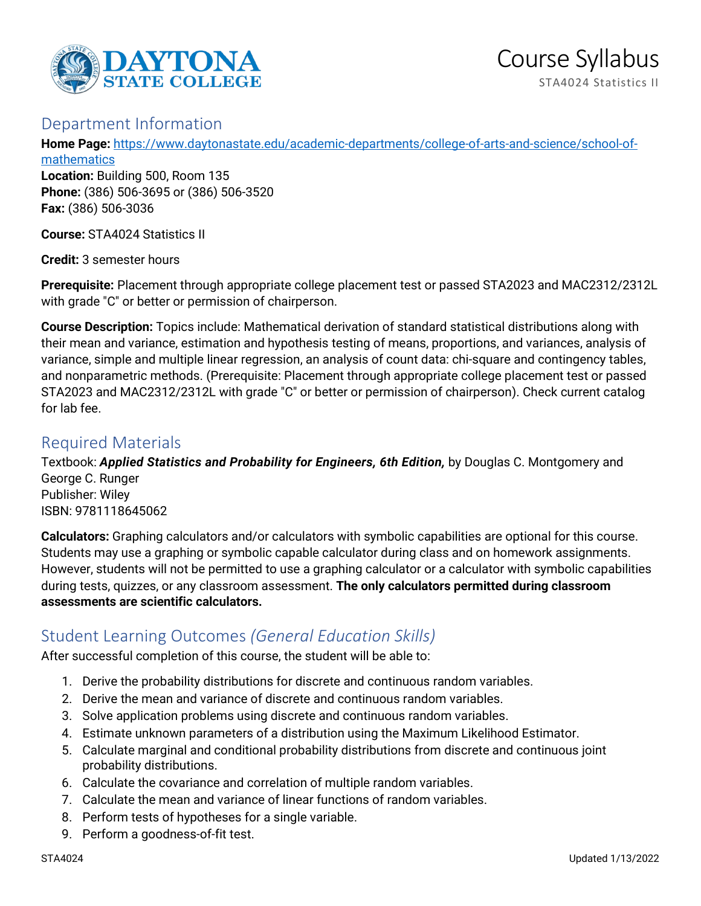

## Department Information

**Home Page:** [https://www.daytonastate.edu/academic-departments/college-of-arts-and-science/school-of](https://www.daytonastate.edu/academic-departments/college-of-arts-and-science/school-of-mathematics)**[mathematics](https://www.daytonastate.edu/academic-departments/college-of-arts-and-science/school-of-mathematics)** 

**Location:** Building 500, Room 135 **Phone:** (386) 506-3695 or (386) 506-3520 **Fax:** (386) 506-3036

**Course:** STA4024 Statistics II

**Credit:** 3 semester hours

**Prerequisite:** Placement through appropriate college placement test or passed STA2023 and MAC2312/2312L with grade "C" or better or permission of chairperson.

**Course Description:** Topics include: Mathematical derivation of standard statistical distributions along with their mean and variance, estimation and hypothesis testing of means, proportions, and variances, analysis of variance, simple and multiple linear regression, an analysis of count data: chi-square and contingency tables, and nonparametric methods. (Prerequisite: Placement through appropriate college placement test or passed STA2023 and MAC2312/2312L with grade "C" or better or permission of chairperson). Check current catalog for lab fee.

## Required Materials

Textbook: *Applied Statistics and Probability for Engineers, 6th Edition,* by Douglas C. Montgomery and George C. Runger Publisher: Wiley ISBN: 9781118645062

**Calculators:** Graphing calculators and/or calculators with symbolic capabilities are optional for this course. Students may use a graphing or symbolic capable calculator during class and on homework assignments. However, students will not be permitted to use a graphing calculator or a calculator with symbolic capabilities during tests, quizzes, or any classroom assessment. **The only calculators permitted during classroom assessments are scientific calculators.**

# Student Learning Outcomes *(General Education Skills)*

After successful completion of this course, the student will be able to:

- 1. Derive the probability distributions for discrete and continuous random variables.
- 2. Derive the mean and variance of discrete and continuous random variables.
- 3. Solve application problems using discrete and continuous random variables.
- 4. Estimate unknown parameters of a distribution using the Maximum Likelihood Estimator.
- 5. Calculate marginal and conditional probability distributions from discrete and continuous joint probability distributions.
- 6. Calculate the covariance and correlation of multiple random variables.
- 7. Calculate the mean and variance of linear functions of random variables.
- 8. Perform tests of hypotheses for a single variable.
- 9. Perform a goodness-of-fit test.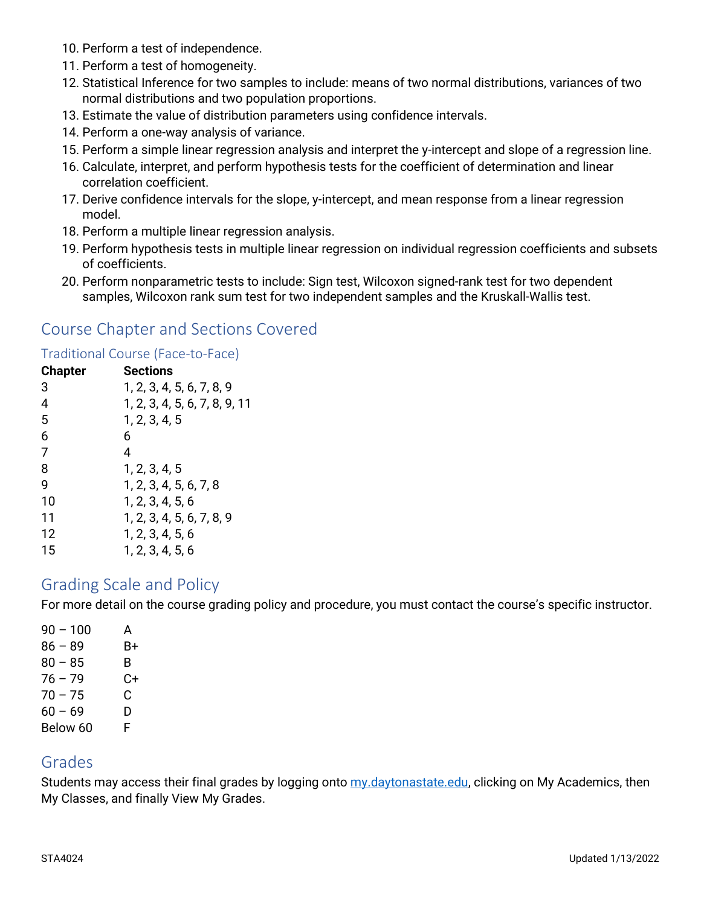- 10. Perform a test of independence.
- 11. Perform a test of homogeneity.
- 12. Statistical Inference for two samples to include: means of two normal distributions, variances of two normal distributions and two population proportions.
- 13. Estimate the value of distribution parameters using confidence intervals.
- 14. Perform a one-way analysis of variance.
- 15. Perform a simple linear regression analysis and interpret the y-intercept and slope of a regression line.
- 16. Calculate, interpret, and perform hypothesis tests for the coefficient of determination and linear correlation coefficient.
- 17. Derive confidence intervals for the slope, y-intercept, and mean response from a linear regression model.
- 18. Perform a multiple linear regression analysis.
- 19. Perform hypothesis tests in multiple linear regression on individual regression coefficients and subsets of coefficients.
- 20. Perform nonparametric tests to include: Sign test, Wilcoxon signed-rank test for two dependent samples, Wilcoxon rank sum test for two independent samples and the Kruskall-Wallis test.

## Course Chapter and Sections Covered

#### Traditional Course (Face-to-Face)

| <b>Chapter</b> | Sections                      |
|----------------|-------------------------------|
| 3              | 1, 2, 3, 4, 5, 6, 7, 8, 9     |
| $\overline{4}$ | 1, 2, 3, 4, 5, 6, 7, 8, 9, 11 |
| 5              | 1, 2, 3, 4, 5                 |
| 6              | 6                             |
| 7              | 4                             |
| 8              | 1, 2, 3, 4, 5                 |
| 9              | 1, 2, 3, 4, 5, 6, 7, 8        |
| 10             | 1, 2, 3, 4, 5, 6              |
| 11             | 1, 2, 3, 4, 5, 6, 7, 8, 9     |
| 12             | 1, 2, 3, 4, 5, 6              |
| 15             | 1, 2, 3, 4, 5, 6              |

### Grading Scale and Policy

For more detail on the course grading policy and procedure, you must contact the course's specific instructor.

| А  |
|----|
| B+ |
| B  |
| C+ |
| С  |
| D  |
| F  |
|    |

### Grades

Students may access their final grades by logging onto [my.daytonastate.edu,](https://my.daytonastate.edu/) clicking on My Academics, then My Classes, and finally View My Grades.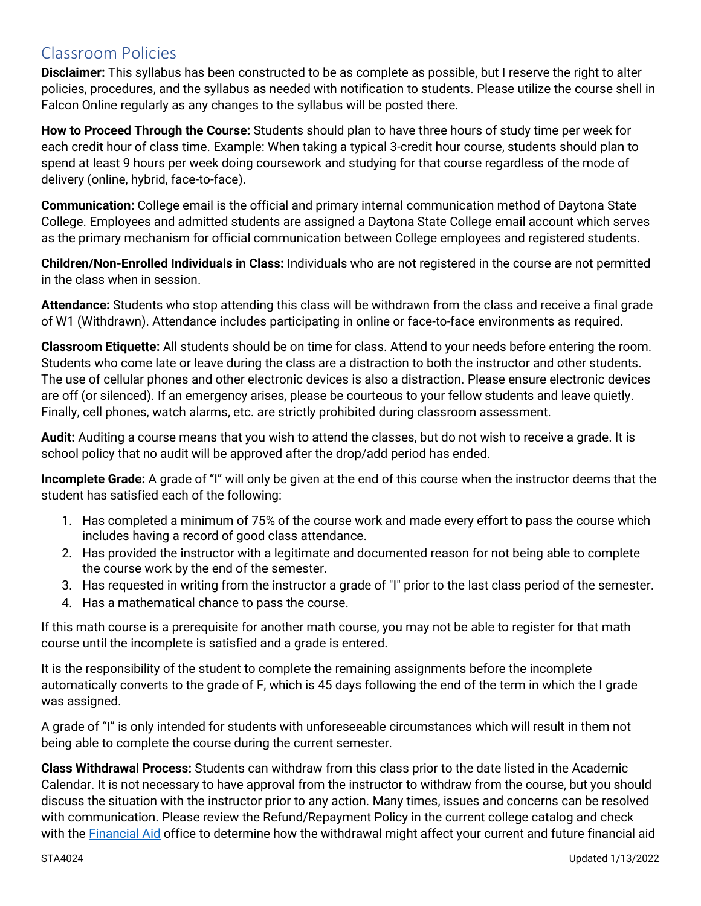# Classroom Policies

**Disclaimer:** This syllabus has been constructed to be as complete as possible, but I reserve the right to alter policies, procedures, and the syllabus as needed with notification to students. Please utilize the course shell in Falcon Online regularly as any changes to the syllabus will be posted there.

**How to Proceed Through the Course:** Students should plan to have three hours of study time per week for each credit hour of class time. Example: When taking a typical 3-credit hour course, students should plan to spend at least 9 hours per week doing coursework and studying for that course regardless of the mode of delivery (online, hybrid, face-to-face).

**Communication:** College email is the official and primary internal communication method of Daytona State College. Employees and admitted students are assigned a Daytona State College email account which serves as the primary mechanism for official communication between College employees and registered students.

**Children/Non-Enrolled Individuals in Class:** Individuals who are not registered in the course are not permitted in the class when in session.

**Attendance:** Students who stop attending this class will be withdrawn from the class and receive a final grade of W1 (Withdrawn). Attendance includes participating in online or face-to-face environments as required.

**Classroom Etiquette:** All students should be on time for class. Attend to your needs before entering the room. Students who come late or leave during the class are a distraction to both the instructor and other students. The use of cellular phones and other electronic devices is also a distraction. Please ensure electronic devices are off (or silenced). If an emergency arises, please be courteous to your fellow students and leave quietly. Finally, cell phones, watch alarms, etc. are strictly prohibited during classroom assessment.

**Audit:** Auditing a course means that you wish to attend the classes, but do not wish to receive a grade. It is school policy that no audit will be approved after the drop/add period has ended.

**Incomplete Grade:** A grade of "I" will only be given at the end of this course when the instructor deems that the student has satisfied each of the following:

- 1. Has completed a minimum of 75% of the course work and made every effort to pass the course which includes having a record of good class attendance.
- 2. Has provided the instructor with a legitimate and documented reason for not being able to complete the course work by the end of the semester.
- 3. Has requested in writing from the instructor a grade of "I" prior to the last class period of the semester.
- 4. Has a mathematical chance to pass the course.

If this math course is a prerequisite for another math course, you may not be able to register for that math course until the incomplete is satisfied and a grade is entered.

It is the responsibility of the student to complete the remaining assignments before the incomplete automatically converts to the grade of F, which is 45 days following the end of the term in which the I grade was assigned.

A grade of "I" is only intended for students with unforeseeable circumstances which will result in them not being able to complete the course during the current semester.

**Class Withdrawal Process:** Students can withdraw from this class prior to the date listed in the Academic Calendar. It is not necessary to have approval from the instructor to withdraw from the course, but you should discuss the situation with the instructor prior to any action. Many times, issues and concerns can be resolved with communication. Please review the Refund/Repayment Policy in the current college catalog and check with the [Financial Aid](https://www.daytonastate.edu/financial-aid) office to determine how the withdrawal might affect your current and future financial aid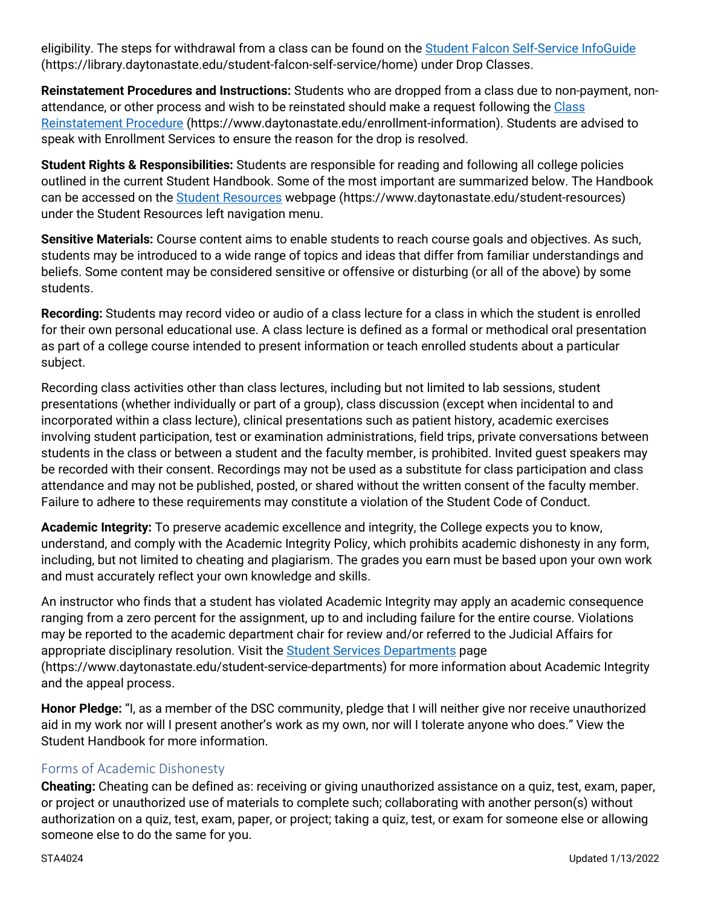eligibility. The steps for withdrawal from a class can be found on the [Student Falcon Self-Service InfoGuide](https://library.daytonastate.edu/student-falcon-self-service/home) (https://library.daytonastate.edu/student-falcon-self-service/home) under Drop Classes.

**Reinstatement Procedures and Instructions:** Students who are dropped from a class due to non-payment, nonattendance, or other process and wish to be reinstated should make a request following the Class [Reinstatement Procedure](https://www.daytonastate.edu/enrollment-information/index.html) (https://www.daytonastate.edu/enrollment-information). Students are advised to speak with Enrollment Services to ensure the reason for the drop is resolved.

**Student Rights & Responsibilities:** Students are responsible for reading and following all college policies outlined in the current Student Handbook. Some of the most important are summarized below. The Handbook can be accessed on the [Student Resources](https://www.daytonastate.edu/student-resources) webpage (https://www.daytonastate.edu/student-resources) under the Student Resources left navigation menu.

**Sensitive Materials:** Course content aims to enable students to reach course goals and objectives. As such, students may be introduced to a wide range of topics and ideas that differ from familiar understandings and beliefs. Some content may be considered sensitive or offensive or disturbing (or all of the above) by some students.

**Recording:** Students may record video or audio of a class lecture for a class in which the student is enrolled for their own personal educational use. A class lecture is defined as a formal or methodical oral presentation as part of a college course intended to present information or teach enrolled students about a particular subject.

Recording class activities other than class lectures, including but not limited to lab sessions, student presentations (whether individually or part of a group), class discussion (except when incidental to and incorporated within a class lecture), clinical presentations such as patient history, academic exercises involving student participation, test or examination administrations, field trips, private conversations between students in the class or between a student and the faculty member, is prohibited. Invited guest speakers may be recorded with their consent. Recordings may not be used as a substitute for class participation and class attendance and may not be published, posted, or shared without the written consent of the faculty member. Failure to adhere to these requirements may constitute a violation of the Student Code of Conduct.

**Academic Integrity:** To preserve academic excellence and integrity, the College expects you to know, understand, and comply with the Academic Integrity Policy, which prohibits academic dishonesty in any form, including, but not limited to cheating and plagiarism. The grades you earn must be based upon your own work and must accurately reflect your own knowledge and skills.

An instructor who finds that a student has violated Academic Integrity may apply an academic consequence ranging from a zero percent for the assignment, up to and including failure for the entire course. Violations may be reported to the academic department chair for review and/or referred to the Judicial Affairs for appropriate disciplinary resolution. Visit the [Student Services Departments](https://www.daytonastate.edu/student-service-departments) page (https://www.daytonastate.edu/student-service-departments) for more information about Academic Integrity and the appeal process.

**Honor Pledge:** "I, as a member of the DSC community, pledge that I will neither give nor receive unauthorized aid in my work nor will I present another's work as my own, nor will I tolerate anyone who does." View the Student Handbook for more information.

### Forms of Academic Dishonesty

**Cheating:** Cheating can be defined as: receiving or giving unauthorized assistance on a quiz, test, exam, paper, or project or unauthorized use of materials to complete such; collaborating with another person(s) without authorization on a quiz, test, exam, paper, or project; taking a quiz, test, or exam for someone else or allowing someone else to do the same for you.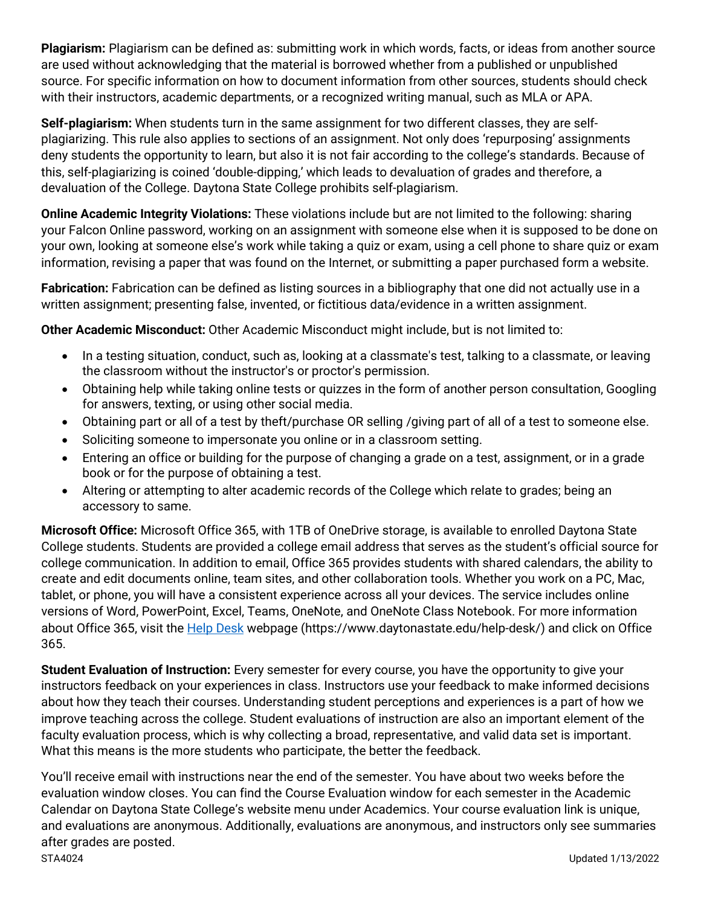**Plagiarism:** Plagiarism can be defined as: submitting work in which words, facts, or ideas from another source are used without acknowledging that the material is borrowed whether from a published or unpublished source. For specific information on how to document information from other sources, students should check with their instructors, academic departments, or a recognized writing manual, such as MLA or APA.

**Self-plagiarism:** When students turn in the same assignment for two different classes, they are selfplagiarizing. This rule also applies to sections of an assignment. Not only does 'repurposing' assignments deny students the opportunity to learn, but also it is not fair according to the college's standards. Because of this, self-plagiarizing is coined 'double-dipping,' which leads to devaluation of grades and therefore, a devaluation of the College. Daytona State College prohibits self-plagiarism.

**Online Academic Integrity Violations:** These violations include but are not limited to the following: sharing your Falcon Online password, working on an assignment with someone else when it is supposed to be done on your own, looking at someone else's work while taking a quiz or exam, using a cell phone to share quiz or exam information, revising a paper that was found on the Internet, or submitting a paper purchased form a website.

**Fabrication:** Fabrication can be defined as listing sources in a bibliography that one did not actually use in a written assignment; presenting false, invented, or fictitious data/evidence in a written assignment.

**Other Academic Misconduct:** Other Academic Misconduct might include, but is not limited to:

- In a testing situation, conduct, such as, looking at a classmate's test, talking to a classmate, or leaving the classroom without the instructor's or proctor's permission.
- Obtaining help while taking online tests or quizzes in the form of another person consultation, Googling for answers, texting, or using other social media.
- Obtaining part or all of a test by theft/purchase OR selling /giving part of all of a test to someone else.
- Soliciting someone to impersonate you online or in a classroom setting.
- Entering an office or building for the purpose of changing a grade on a test, assignment, or in a grade book or for the purpose of obtaining a test.
- Altering or attempting to alter academic records of the College which relate to grades; being an accessory to same.

**Microsoft Office:** Microsoft Office 365, with 1TB of OneDrive storage, is available to enrolled Daytona State College students. Students are provided a college email address that serves as the student's official source for college communication. In addition to email, Office 365 provides students with shared calendars, the ability to create and edit documents online, team sites, and other collaboration tools. Whether you work on a PC, Mac, tablet, or phone, you will have a consistent experience across all your devices. The service includes online versions of Word, PowerPoint, Excel, Teams, OneNote, and OneNote Class Notebook. For more information about Office 365, visit the [Help Desk](https://www.daytonastate.edu/help-desk/) webpage (https://www.daytonastate.edu/help-desk/) and click on Office 365.

**Student Evaluation of Instruction:** Every semester for every course, you have the opportunity to give your instructors feedback on your experiences in class. Instructors use your feedback to make informed decisions about how they teach their courses. Understanding student perceptions and experiences is a part of how we improve teaching across the college. Student evaluations of instruction are also an important element of the faculty evaluation process, which is why collecting a broad, representative, and valid data set is important. What this means is the more students who participate, the better the feedback.

STA4024 Updated 1/13/2022 You'll receive email with instructions near the end of the semester. You have about two weeks before the evaluation window closes. You can find the Course Evaluation window for each semester in the Academic Calendar on Daytona State College's website menu under Academics. Your course evaluation link is unique, and evaluations are anonymous. Additionally, evaluations are anonymous, and instructors only see summaries after grades are posted.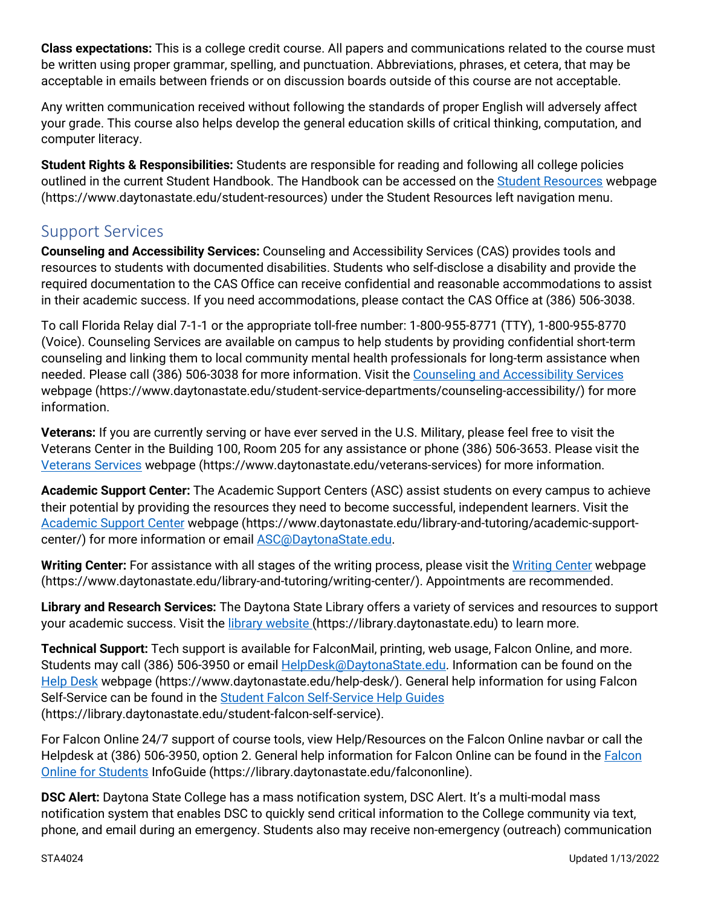**Class expectations:** This is a college credit course. All papers and communications related to the course must be written using proper grammar, spelling, and punctuation. Abbreviations, phrases, et cetera, that may be acceptable in emails between friends or on discussion boards outside of this course are not acceptable.

Any written communication received without following the standards of proper English will adversely affect your grade. This course also helps develop the general education skills of critical thinking, computation, and computer literacy.

**Student Rights & Responsibilities:** Students are responsible for reading and following all college policies outlined in the current Student Handbook. The Handbook can be accessed on the [Student Resources](https://www.daytonastate.edu/student-resources) webpage (https://www.daytonastate.edu/student-resources) under the Student Resources left navigation menu.

## Support Services

**Counseling and Accessibility Services:** Counseling and Accessibility Services (CAS) provides tools and resources to students with documented disabilities. Students who self-disclose a disability and provide the required documentation to the CAS Office can receive confidential and reasonable accommodations to assist in their academic success. If you need accommodations, please contact the CAS Office at (386) 506-3038.

To call Florida Relay dial 7-1-1 or the appropriate toll-free number: 1-800-955-8771 (TTY), 1-800-955-8770 (Voice). Counseling Services are available on campus to help students by providing confidential short-term counseling and linking them to local community mental health professionals for long-term assistance when needed. Please call (386) 506-3038 for more information. Visit the [Counseling and Accessibility Services](https://www.daytonastate.edu/student-service-departments/counseling-accessibility/) webpage (https://www.daytonastate.edu/student-service-departments/counseling-accessibility/) for more information.

**Veterans:** If you are currently serving or have ever served in the U.S. Military, please feel free to visit the Veterans Center in the Building 100, Room 205 for any assistance or phone (386) 506-3653. Please visit the [Veterans Services](https://www.daytonastate.edu/veterans-services) webpage (https://www.daytonastate.edu/veterans-services) for more information.

**Academic Support Center:** The Academic Support Centers (ASC) assist students on every campus to achieve their potential by providing the resources they need to become successful, independent learners. Visit the [Academic Support Center](https://www.daytonastate.edu/library-and-tutoring/academic-support-center/index.html) webpage (https://www.daytonastate.edu/library-and-tutoring/academic-supportcenter/) for more information or email [ASC@DaytonaState.edu.](mailto:ASC@DaytonaState.edu)

Writing Center: For assistance with all stages of the writing process, please visit the [Writing Center](https://www.daytonastate.edu/library-and-tutoring/writing-center/) webpage (https://www.daytonastate.edu/library-and-tutoring/writing-center/). Appointments are recommended.

**Library and Research Services:** The Daytona State Library offers a variety of services and resources to support your academic success. Visit the [library website \(](https://library.daytonastate.edu/index)https://library.daytonastate.edu) to learn more.

**Technical Support:** Tech support is available for FalconMail, printing, web usage, Falcon Online, and more. Students may call (386) 506-3950 or email **HelpDesk@DaytonaState.edu**. Information can be found on the [Help Desk](https://www.daytonastate.edu/help-desk/) webpage (https://www.daytonastate.edu/help-desk/). General help information for using Falcon Self-Service can be found in the [Student Falcon Self-Service Help Guides](https://library.daytonastate.edu/student-falcon-self-service) (https://library.daytonastate.edu/student-falcon-self-service).

For Falcon Online 24/7 support of course tools, view Help/Resources on the Falcon Online navbar or call the Helpdesk at (386) 506-3950, option 2. General help information for Falcon Online can be found in the [Falcon](https://library.daytonastate.edu/falcononline)  [Online for Students](https://library.daytonastate.edu/falcononline) InfoGuide (https://library.daytonastate.edu/falcononline).

**DSC Alert:** Daytona State College has a mass notification system, DSC Alert. It's a multi-modal mass notification system that enables DSC to quickly send critical information to the College community via text, phone, and email during an emergency. Students also may receive non-emergency (outreach) communication